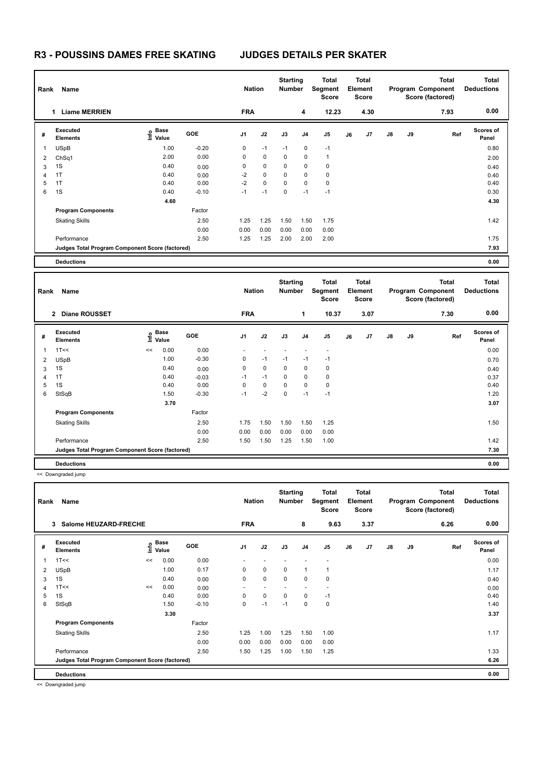### **R3 - POUSSINS DAMES FREE SKATING JUDGES DETAILS PER SKATER**

**Base Value** 

1 0.00 0.00 - - - - -

Skating Skills **1.75** 1.50 1.50 1.25 Factor

| Rank<br>Name |                                                 |                                  |            | <b>Nation</b>  |             | <b>Starting</b><br><b>Total</b><br>Segment<br><b>Number</b><br><b>Score</b> |                | <b>Total</b><br>Element<br><b>Score</b>        |    | Program Component                       |               | <b>Total</b><br>Score (factored) | <b>Total</b><br><b>Deductions</b>                     |                                   |
|--------------|-------------------------------------------------|----------------------------------|------------|----------------|-------------|-----------------------------------------------------------------------------|----------------|------------------------------------------------|----|-----------------------------------------|---------------|----------------------------------|-------------------------------------------------------|-----------------------------------|
|              | <b>Liame MERRIEN</b><br>1                       |                                  |            | <b>FRA</b>     |             |                                                                             | 4              | 12.23                                          |    | 4.30                                    |               |                                  | 7.93                                                  | 0.00                              |
| #            | Executed<br><b>Elements</b>                     | <b>Base</b><br>e Base<br>⊑ Value | <b>GOE</b> | J <sub>1</sub> | J2          | J3                                                                          | J <sub>4</sub> | J <sub>5</sub>                                 | J6 | J7                                      | $\mathsf{J}8$ | J9                               | Ref                                                   | Scores of<br>Panel                |
| 1            | <b>USpB</b>                                     | 1.00                             | $-0.20$    | 0              | $-1$        | $-1$                                                                        | 0              | $-1$                                           |    |                                         |               |                                  |                                                       | 0.80                              |
| 2            | ChSq1                                           | 2.00                             | 0.00       | $\Omega$       | $\mathbf 0$ | $\mathbf 0$                                                                 | 0              | $\mathbf{1}$                                   |    |                                         |               |                                  |                                                       | 2.00                              |
| 3            | 1S                                              | 0.40                             | 0.00       | 0              | 0           | 0                                                                           | 0              | 0                                              |    |                                         |               |                                  |                                                       | 0.40                              |
| 4            | 1T                                              | 0.40                             | 0.00       | $-2$           | $\mathbf 0$ | $\mathbf 0$                                                                 | 0              | 0                                              |    |                                         |               |                                  |                                                       | 0.40                              |
| 5            | 1T                                              | 0.40                             | 0.00       | $-2$           | $\mathbf 0$ | 0                                                                           | 0              | 0                                              |    |                                         |               |                                  |                                                       | 0.40                              |
| 6            | 1S                                              | 0.40                             | $-0.10$    | $-1$           | $-1$        | $\mathbf 0$                                                                 | $-1$           | $-1$                                           |    |                                         |               |                                  |                                                       | 0.30                              |
|              |                                                 | 4.60                             |            |                |             |                                                                             |                |                                                |    |                                         |               |                                  |                                                       | 4.30                              |
|              | <b>Program Components</b>                       |                                  | Factor     |                |             |                                                                             |                |                                                |    |                                         |               |                                  |                                                       |                                   |
|              | <b>Skating Skills</b>                           |                                  | 2.50       | 1.25           | 1.25        | 1.50                                                                        | 1.50           | 1.75                                           |    |                                         |               |                                  |                                                       | 1.42                              |
|              |                                                 |                                  | 0.00       | 0.00           | 0.00        | 0.00                                                                        | 0.00           | 0.00                                           |    |                                         |               |                                  |                                                       |                                   |
|              | Performance                                     |                                  | 2.50       | 1.25           | 1.25        | 2.00                                                                        | 2.00           | 2.00                                           |    |                                         |               |                                  |                                                       | 1.75                              |
|              | Judges Total Program Component Score (factored) |                                  |            |                |             |                                                                             |                |                                                |    |                                         |               |                                  |                                                       | 7.93                              |
|              | <b>Deductions</b>                               |                                  |            |                |             |                                                                             |                |                                                |    |                                         |               |                                  |                                                       | 0.00                              |
|              |                                                 |                                  |            |                |             |                                                                             |                |                                                |    |                                         |               |                                  |                                                       |                                   |
| Rank         | Name                                            |                                  |            | <b>Nation</b>  |             | <b>Starting</b><br><b>Number</b>                                            |                | <b>Total</b><br><b>Segment</b><br><b>Score</b> |    | <b>Total</b><br>Element<br><b>Score</b> |               |                                  | <b>Total</b><br>Program Component<br>Score (factored) | <b>Total</b><br><b>Deductions</b> |
|              | <b>Diane ROUSSET</b><br>$\mathbf{2}$            |                                  |            | <b>FRA</b>     |             |                                                                             | 1              | 10.37                                          |    | 3.07                                    |               |                                  | 7.30                                                  | 0.00                              |

**GOE J1 J2 J3 J4 J5 J6 J7 J8 J9** 

**3.70 3.07** 

2.50 1.75 1.50 1.50 1.50 1.25 1.25

1T<< << 0.00 **Info**

 USpB 1.00 -0.30 0 -1 -1 -1 -1 0.70 1S 0.40 0.00 0 0 0 0 0 0.40 1T 0.40 -0.03 -1 -1 0 0 0 0.37 1S 0.40 0.00 0 0 0 0 0 0.40 StSqB 1.50 -0.30 -1 -2 0 -1 -1 1.20

 0.00 0.00 0.00 0.00 0.00 0.00 Performance 2.50 1.50 1.50 1.25 1.50 1.00 1.42

**Judges Total Program Component Score (factored) 7.30**

**Scores of Panel**

**Ref** 

**Deductions 0.00** << Downgraded jump

**#** 

**Executed Elements** 

**Program Components** 

**Total Deductions Total Program Component Score (factored) Total Element Score Total Segment Score Starting Rank Name Nation Number # Executed Elements Base Value GOE J1 J2 J3 J4 J5 J6 J7 J8 J9 Scores of Panel** 1 0.00 0.00 - - - - - **Ref**  1T<< << 0.00 **Info 3 Salome HEUZARD-FRECHE FRA 8 9.63 3.37 6.26 0.00** 2 USpB 1.00 0.17 0 0 0 1 1 1.17 3 1S 0.40 0.00 0 0 0 0 0 0.40 4 1T<< << 0.00 0.00 - - - - - - - - - - - - 0.00 0.00 5 1S 0.40 0.00 0 0 0 0 -1 0.40 6 StSqB 1.50 -0.10 0 -1 -1 0 0 1.40 **3.30** 3.37 **Program Components**  Skating Skills **1.25 1.00 1.25 1.50 1.00** Factor 2.50 1.17 0.00 0.00 0.00 0.00 0.00 0.00 Performance 2.50 1.50 1.25 1.00 1.50 1.25 1.33 **Deductions 0.00 Judges Total Program Component Score (factored) 6.26**

<< Downgraded jump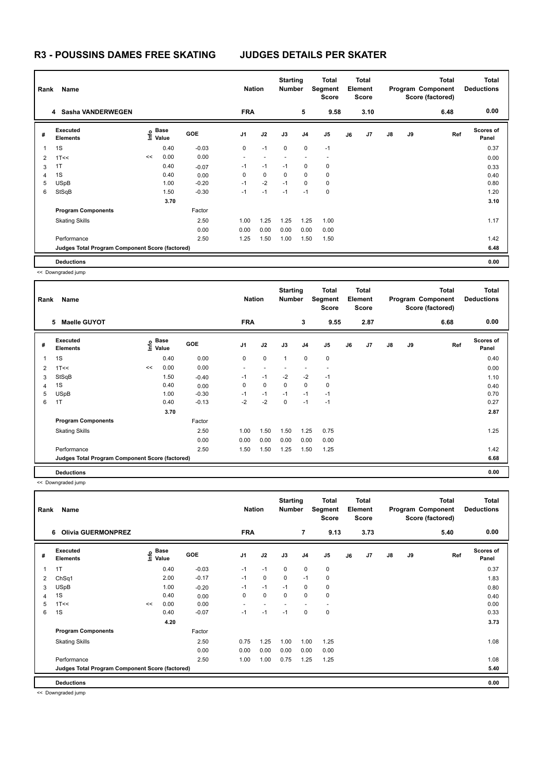## **R3 - POUSSINS DAMES FREE SKATING JUDGES DETAILS PER SKATER**

| Name<br>Rank   |                                                 |    |                                      | <b>Nation</b> |                          | <b>Starting</b><br><b>Number</b> |             | <b>Total</b><br>Segment<br><b>Score</b> | <b>Total</b><br>Element<br><b>Score</b> |    |      |               | <b>Total</b><br>Program Component<br>Score (factored) | <b>Total</b><br><b>Deductions</b> |                    |
|----------------|-------------------------------------------------|----|--------------------------------------|---------------|--------------------------|----------------------------------|-------------|-----------------------------------------|-----------------------------------------|----|------|---------------|-------------------------------------------------------|-----------------------------------|--------------------|
|                | 4 Sasha VANDERWEGEN                             |    |                                      |               | <b>FRA</b>               |                                  |             | 5                                       | 9.58                                    |    | 3.10 |               |                                                       | 6.48                              | 0.00               |
| #              | Executed<br><b>Elements</b>                     |    | Base<br>은 <sup>Base</sup><br>트 Value | <b>GOE</b>    | J <sub>1</sub>           | J2                               | J3          | J <sub>4</sub>                          | J5                                      | J6 | J7   | $\mathsf{J}8$ | J9                                                    | Ref                               | Scores of<br>Panel |
| 1              | 1S                                              |    | 0.40                                 | $-0.03$       | 0                        | $-1$                             | $\mathbf 0$ | $\mathbf 0$                             | $-1$                                    |    |      |               |                                                       |                                   | 0.37               |
| $\overline{2}$ | 1T<<                                            | << | 0.00                                 | 0.00          | $\overline{\phantom{a}}$ |                                  |             |                                         | $\overline{\phantom{a}}$                |    |      |               |                                                       |                                   | 0.00               |
| 3              | 1T                                              |    | 0.40                                 | $-0.07$       | $-1$                     | $-1$                             | $-1$        | 0                                       | 0                                       |    |      |               |                                                       |                                   | 0.33               |
| 4              | 1S                                              |    | 0.40                                 | 0.00          | 0                        | $\mathbf 0$                      | 0           | 0                                       | 0                                       |    |      |               |                                                       |                                   | 0.40               |
| 5              | <b>USpB</b>                                     |    | 1.00                                 | $-0.20$       | $-1$                     | $-2$                             | $-1$        | 0                                       | 0                                       |    |      |               |                                                       |                                   | 0.80               |
| 6              | StSqB                                           |    | 1.50                                 | $-0.30$       | $-1$                     | $-1$                             | $-1$        | $-1$                                    | 0                                       |    |      |               |                                                       |                                   | 1.20               |
|                |                                                 |    | 3.70                                 |               |                          |                                  |             |                                         |                                         |    |      |               |                                                       |                                   | 3.10               |
|                | <b>Program Components</b>                       |    |                                      | Factor        |                          |                                  |             |                                         |                                         |    |      |               |                                                       |                                   |                    |
|                | <b>Skating Skills</b>                           |    |                                      | 2.50          | 1.00                     | 1.25                             | 1.25        | 1.25                                    | 1.00                                    |    |      |               |                                                       |                                   | 1.17               |
|                |                                                 |    |                                      | 0.00          | 0.00                     | 0.00                             | 0.00        | 0.00                                    | 0.00                                    |    |      |               |                                                       |                                   |                    |
|                | Performance                                     |    |                                      | 2.50          | 1.25                     | 1.50                             | 1.00        | 1.50                                    | 1.50                                    |    |      |               |                                                       |                                   | 1.42               |
|                | Judges Total Program Component Score (factored) |    |                                      |               |                          |                                  |             |                                         |                                         |    |      |               |                                                       |                                   | 6.48               |
|                | <b>Deductions</b>                               |    |                                      |               |                          |                                  |             |                                         |                                         |    |      |               |                                                       |                                   | 0.00               |

<< Downgraded jump

| Name<br>Rank             |                                                 |    |                                  |            | <b>Nation</b>  |             | <b>Starting</b><br>Number |                | <b>Total</b><br>Segment<br><b>Score</b> | Total<br>Element<br><b>Score</b> |      |               |    | <b>Total</b><br>Program Component<br>Score (factored) | <b>Total</b><br><b>Deductions</b> |
|--------------------------|-------------------------------------------------|----|----------------------------------|------------|----------------|-------------|---------------------------|----------------|-----------------------------------------|----------------------------------|------|---------------|----|-------------------------------------------------------|-----------------------------------|
|                          | <b>Maelle GUYOT</b><br>5                        |    |                                  |            | <b>FRA</b>     |             |                           | 3              | 9.55                                    |                                  | 2.87 |               |    | 6.68                                                  | 0.00                              |
| #                        | Executed<br><b>Elements</b>                     |    | <b>Base</b><br>e Base<br>⊆ Value | <b>GOE</b> | J <sub>1</sub> | J2          | J3                        | J <sub>4</sub> | J5                                      | J6                               | J7   | $\mathsf{J}8$ | J9 | Ref                                                   | <b>Scores of</b><br>Panel         |
| $\overline{\phantom{a}}$ | 1S                                              |    | 0.40                             | 0.00       | 0              | $\mathbf 0$ | $\mathbf{1}$              | $\mathbf 0$    | $\mathbf 0$                             |                                  |      |               |    |                                                       | 0.40                              |
| $\overline{2}$           | 1T<<                                            | << | 0.00                             | 0.00       |                |             |                           |                |                                         |                                  |      |               |    |                                                       | 0.00                              |
| 3                        | StSqB                                           |    | 1.50                             | $-0.40$    | $-1$           | $-1$        | $-2$                      | $-2$           | $-1$                                    |                                  |      |               |    |                                                       | 1.10                              |
| 4                        | 1S                                              |    | 0.40                             | 0.00       | 0              | $\mathbf 0$ | $\Omega$                  | $\mathbf 0$    | 0                                       |                                  |      |               |    |                                                       | 0.40                              |
| 5                        | <b>USpB</b>                                     |    | 1.00                             | $-0.30$    | $-1$           | $-1$        | $-1$                      | $-1$           | $-1$                                    |                                  |      |               |    |                                                       | 0.70                              |
| 6                        | 1T                                              |    | 0.40                             | $-0.13$    | $-2$           | $-2$        | $\mathbf 0$               | $-1$           | $-1$                                    |                                  |      |               |    |                                                       | 0.27                              |
|                          |                                                 |    | 3.70                             |            |                |             |                           |                |                                         |                                  |      |               |    |                                                       | 2.87                              |
|                          | <b>Program Components</b>                       |    |                                  | Factor     |                |             |                           |                |                                         |                                  |      |               |    |                                                       |                                   |
|                          | <b>Skating Skills</b>                           |    |                                  | 2.50       | 1.00           | 1.50        | 1.50                      | 1.25           | 0.75                                    |                                  |      |               |    |                                                       | 1.25                              |
|                          |                                                 |    |                                  | 0.00       | 0.00           | 0.00        | 0.00                      | 0.00           | 0.00                                    |                                  |      |               |    |                                                       |                                   |
|                          | Performance                                     |    |                                  | 2.50       | 1.50           | 1.50        | 1.25                      | 1.50           | 1.25                                    |                                  |      |               |    |                                                       | 1.42                              |
|                          | Judges Total Program Component Score (factored) |    |                                  |            |                |             |                           |                |                                         |                                  |      |               |    |                                                       | 6.68                              |
|                          | <b>Deductions</b>                               |    |                                  |            |                |             |                           |                |                                         |                                  |      |               |    |                                                       | 0.00                              |

<< Downgraded jump

|   | Name<br>Rank                                    |    |                                      |            |                | <b>Starting</b><br><b>Nation</b><br><b>Number</b> |             |                | <b>Total</b><br>Total<br>Segment<br>Element<br><b>Score</b><br><b>Score</b> |    |      | <b>Total</b><br>Program Component<br>Score (factored) |    |      | <b>Total</b><br><b>Deductions</b> |
|---|-------------------------------------------------|----|--------------------------------------|------------|----------------|---------------------------------------------------|-------------|----------------|-----------------------------------------------------------------------------|----|------|-------------------------------------------------------|----|------|-----------------------------------|
|   | <b>Olivia GUERMONPREZ</b><br>6.                 |    |                                      |            | <b>FRA</b>     |                                                   |             | 7              | 9.13                                                                        |    | 3.73 |                                                       |    | 5.40 | 0.00                              |
| # | Executed<br><b>Elements</b>                     |    | Base<br>은 <sup>Base</sup><br>트 Value | <b>GOE</b> | J <sub>1</sub> | J2                                                | J3          | J <sub>4</sub> | J <sub>5</sub>                                                              | J6 | J7   | $\mathsf{J}8$                                         | J9 | Ref  | <b>Scores of</b><br>Panel         |
| 1 | 1T                                              |    | 0.40                                 | $-0.03$    | $-1$           | $-1$                                              | $\mathbf 0$ | $\mathbf 0$    | 0                                                                           |    |      |                                                       |    |      | 0.37                              |
| 2 | Ch <sub>Sq1</sub>                               |    | 2.00                                 | $-0.17$    | $-1$           | 0                                                 | 0           | $-1$           | 0                                                                           |    |      |                                                       |    |      | 1.83                              |
| 3 | USpB                                            |    | 1.00                                 | $-0.20$    | $-1$           | $-1$                                              | $-1$        | $\mathbf 0$    | 0                                                                           |    |      |                                                       |    |      | 0.80                              |
| 4 | 1S                                              |    | 0.40                                 | 0.00       | 0              | 0                                                 | 0           | 0              | 0                                                                           |    |      |                                                       |    |      | 0.40                              |
| 5 | 1T<<                                            | << | 0.00                                 | 0.00       | ٠              |                                                   |             |                | $\overline{\phantom{a}}$                                                    |    |      |                                                       |    |      | 0.00                              |
| 6 | 1S                                              |    | 0.40                                 | $-0.07$    | $-1$           | $-1$                                              | $-1$        | 0              | $\mathbf 0$                                                                 |    |      |                                                       |    |      | 0.33                              |
|   |                                                 |    | 4.20                                 |            |                |                                                   |             |                |                                                                             |    |      |                                                       |    |      | 3.73                              |
|   | <b>Program Components</b>                       |    |                                      | Factor     |                |                                                   |             |                |                                                                             |    |      |                                                       |    |      |                                   |
|   | <b>Skating Skills</b>                           |    |                                      | 2.50       | 0.75           | 1.25                                              | 1.00        | 1.00           | 1.25                                                                        |    |      |                                                       |    |      | 1.08                              |
|   |                                                 |    |                                      | 0.00       | 0.00           | 0.00                                              | 0.00        | 0.00           | 0.00                                                                        |    |      |                                                       |    |      |                                   |
|   | Performance                                     |    |                                      | 2.50       | 1.00           | 1.00                                              | 0.75        | 1.25           | 1.25                                                                        |    |      |                                                       |    |      | 1.08                              |
|   | Judges Total Program Component Score (factored) |    |                                      |            |                |                                                   |             |                |                                                                             |    |      |                                                       |    |      | 5.40                              |
|   | <b>Deductions</b>                               |    |                                      |            |                |                                                   |             |                |                                                                             |    |      |                                                       |    |      | 0.00                              |

<< Downgraded jump